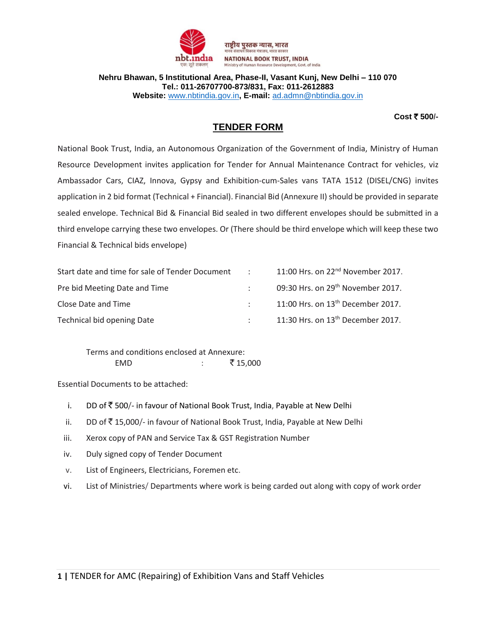

**Nehru Bhawan, 5 Institutional Area, Phase-II, Vasant Kunj, New Delhi – 110 070 Tel.: 011-26707700-873/831, Fax: 011-2612883 Website:** [www.nbtindia.gov.in](http://www.nbtindia.gov.in/)**, E-mail:** [ad.admn@nbtindia.gov.in](mailto:ad.admn@nbtindia.gov.in)

#### **Cost** ` **500/-**

## **TENDER FORM**

National Book Trust, India, an Autonomous Organization of the Government of India, Ministry of Human Resource Development invites application for Tender for Annual Maintenance Contract for vehicles, viz Ambassador Cars, CIAZ, Innova, Gypsy and Exhibition-cum-Sales vans TATA 1512 (DISEL/CNG) invites application in 2 bid format (Technical + Financial). Financial Bid (Annexure II) should be provided in separate sealed envelope. Technical Bid & Financial Bid sealed in two different envelopes should be submitted in a third envelope carrying these two envelopes. Or (There should be third envelope which will keep these two Financial & Technical bids envelope)

| Start date and time for sale of Tender Document | <b>Contract Contract</b>        | 11:00 Hrs. on 22 <sup>nd</sup> November 2017. |
|-------------------------------------------------|---------------------------------|-----------------------------------------------|
| Pre bid Meeting Date and Time                   |                                 | 09:30 Hrs. on 29 <sup>th</sup> November 2017. |
| Close Date and Time                             | $\mathcal{F}$ and $\mathcal{F}$ | 11:00 Hrs. on 13 <sup>th</sup> December 2017. |
| Technical bid opening Date                      |                                 | 11:30 Hrs. on 13 <sup>th</sup> December 2017. |

Terms and conditions enclosed at Annexure: EMD : ` 15,000

Essential Documents to be attached:

- i. DD of  $\bar{z}$  500/- in favour of National Book Trust, India, Payable at New Delhi
- ii. DD of  $\bar{\mathfrak{F}}$  15,000/- in favour of National Book Trust, India, Payable at New Delhi
- iii. Xerox copy of PAN and Service Tax & GST Registration Number
- iv. Duly signed copy of Tender Document
- v. List of Engineers, Electricians, Foremen etc.
- vi. List of Ministries/ Departments where work is being carded out along with copy of work order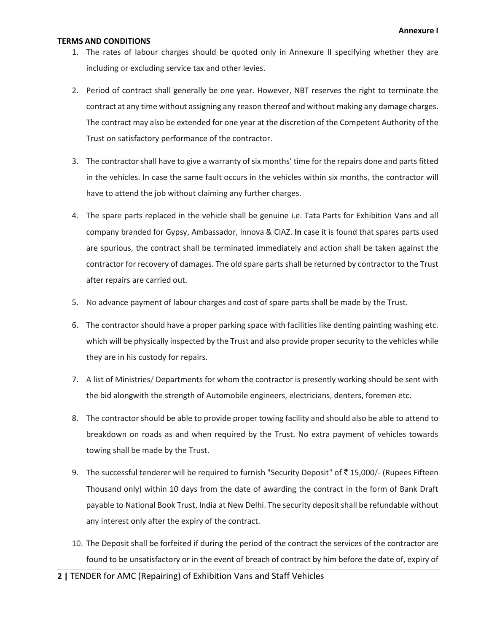#### **TERMS AND CONDITIONS**

- 1. The rates of labour charges should be quoted only in Annexure II specifying whether they are including or excluding service tax and other levies.
- 2. Period of contract shall generally be one year. However, NBT reserves the right to terminate the contract at any time without assigning any reason thereof and without making any damage charges. The contract may also be extended for one year at the discretion of the Competent Authority of the Trust on satisfactory performance of the contractor.
- 3. The contractor shall have to give a warranty of six months' time for the repairs done and parts fitted in the vehicles. In case the same fault occurs in the vehicles within six months, the contractor will have to attend the job without claiming any further charges.
- 4. The spare parts replaced in the vehicle shall be genuine i.e. Tata Parts for Exhibition Vans and all company branded for Gypsy, Ambassador, lnnova & CIAZ. **In** case it is found that spares parts used are spurious, the contract shall be terminated immediately and action shall be taken against the contractor for recovery of damages. The old spare parts shall be returned by contractor to the Trust after repairs are carried out.
- 5. No advance payment of labour charges and cost of spare parts shall be made by the Trust.
- 6. The contractor should have a proper parking space with facilities like denting painting washing etc. which will be physically inspected by the Trust and also provide proper security to the vehicles while they are in his custody for repairs.
- 7. A list of Ministries/ Departments for whom the contractor is presently working should be sent with the bid alongwith the strength of Automobile engineers, electricians, denters, foremen etc.
- 8. The contractor should be able to provide proper towing facility and should also be able to attend to breakdown on roads as and when required by the Trust. No extra payment of vehicles towards towing shall be made by the Trust.
- 9. The successful tenderer will be required to furnish "Security Deposit" of  $\bar{\tau}$  15,000/- (Rupees Fifteen Thousand only) within 10 days from the date of awarding the contract in the form of Bank Draft payable to National Book Trust, India at New Delhi. The security deposit shall be refundable without any interest only after the expiry of the contract.
- 10. The Deposit shall be forfeited if during the period of the contract the services of the contractor are found to be unsatisfactory or in the event of breach of contract by him before the date of, expiry of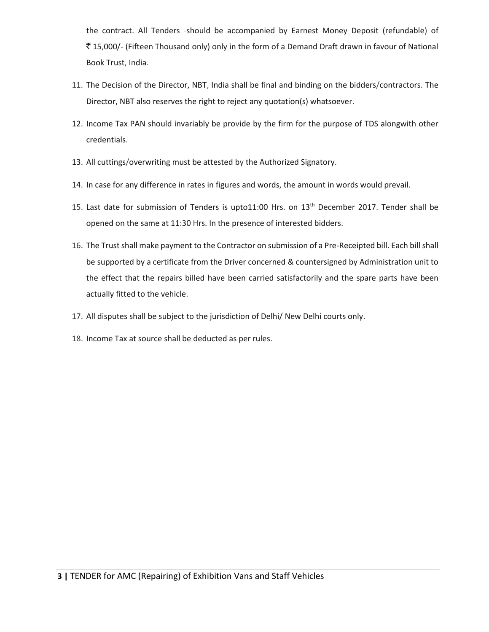the contract. All Tenders -should be accompanied by Earnest Money Deposit (refundable) of ₹15,000/- (Fifteen Thousand only) only in the form of a Demand Draft drawn in favour of National Book Trust, India.

- 11. The Decision of the Director, NBT, India shall be final and binding on the bidders/contractors. The Director, NBT also reserves the right to reject any quotation(s) whatsoever.
- 12. Income Tax PAN should invariably be provide by the firm for the purpose of TDS alongwith other credentials.
- 13. All cuttings/overwriting must be attested by the Authorized Signatory.
- 14. In case for any difference in rates in figures and words, the amount in words would prevail.
- 15. Last date for submission of Tenders is upto11:00 Hrs. on 13<sup>th</sup> December 2017. Tender shall be opened on the same at 11:30 Hrs. In the presence of interested bidders.
- 16. The Trust shall make payment to the Contractor on submission of a Pre-Receipted bill. Each bill shall be supported by a certificate from the Driver concerned & countersigned by Administration unit to the effect that the repairs billed have been carried satisfactorily and the spare parts have been actually fitted to the vehicle.
- 17. All disputes shall be subject to the jurisdiction of Delhi/ New Delhi courts only.
- 18. Income Tax at source shall be deducted as per rules.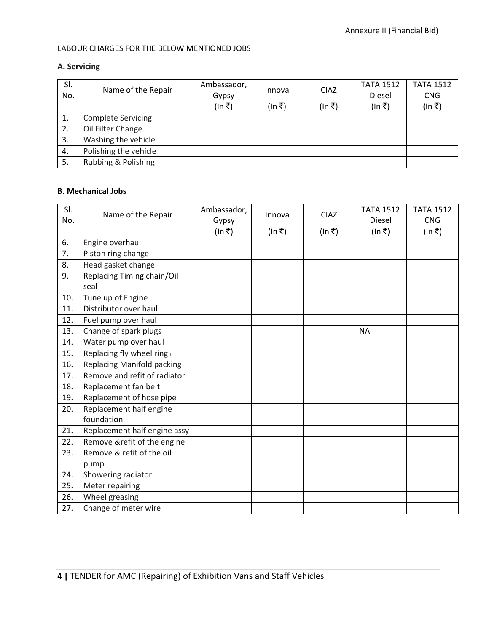#### LABOUR CHARGES FOR THE BELOW MENTIONED JOBS

### **A. Servicing**

| SI. | Name of the Repair        | Ambassador, | Innova | <b>CIAZ</b> | <b>TATA 1512</b> | <b>TATA 1512</b> |
|-----|---------------------------|-------------|--------|-------------|------------------|------------------|
| No. |                           | Gypsy       |        |             | Diesel           | <b>CNG</b>       |
|     |                           | (In ₹)      | (In ₹) | (In ₹)      | (In ₹)           | (In ₹)           |
| 1.  | <b>Complete Servicing</b> |             |        |             |                  |                  |
| 2.  | Oil Filter Change         |             |        |             |                  |                  |
| 3.  | Washing the vehicle       |             |        |             |                  |                  |
| 4.  | Polishing the vehicle     |             |        |             |                  |                  |
| 5.  | Rubbing & Polishing       |             |        |             |                  |                  |

#### **B. Mechanical Jobs**

| SI. | Name of the Repair                | Ambassador, | Innova | <b>CIAZ</b> | <b>TATA 1512</b> | <b>TATA 1512</b> |
|-----|-----------------------------------|-------------|--------|-------------|------------------|------------------|
| No. |                                   | Gypsy       |        |             | <b>Diesel</b>    | <b>CNG</b>       |
|     |                                   | (In ₹)      | (ln ₹) | (In ₹)      | (In ₹)           | (In ₹)           |
| 6.  | Engine overhaul                   |             |        |             |                  |                  |
| 7.  | Piston ring change                |             |        |             |                  |                  |
| 8.  | Head gasket change                |             |        |             |                  |                  |
| 9.  | Replacing Timing chain/Oil        |             |        |             |                  |                  |
|     | seal                              |             |        |             |                  |                  |
| 10. | Tune up of Engine                 |             |        |             |                  |                  |
| 11. | Distributor over haul             |             |        |             |                  |                  |
| 12. | Fuel pump over haul               |             |        |             |                  |                  |
| 13. | Change of spark plugs             |             |        |             | <b>NA</b>        |                  |
| 14. | Water pump over haul              |             |        |             |                  |                  |
| 15. | Replacing fly wheel ring          |             |        |             |                  |                  |
| 16. | <b>Replacing Manifold packing</b> |             |        |             |                  |                  |
| 17. | Remove and refit of radiator      |             |        |             |                  |                  |
| 18. | Replacement fan belt              |             |        |             |                  |                  |
| 19. | Replacement of hose pipe          |             |        |             |                  |                  |
| 20. | Replacement half engine           |             |        |             |                  |                  |
|     | foundation                        |             |        |             |                  |                  |
| 21. | Replacement half engine assy      |             |        |             |                  |                  |
| 22. | Remove &refit of the engine       |             |        |             |                  |                  |
| 23. | Remove & refit of the oil         |             |        |             |                  |                  |
|     | pump                              |             |        |             |                  |                  |
| 24. | Showering radiator                |             |        |             |                  |                  |
| 25. | Meter repairing                   |             |        |             |                  |                  |
| 26. | Wheel greasing                    |             |        |             |                  |                  |
| 27. | Change of meter wire              |             |        |             |                  |                  |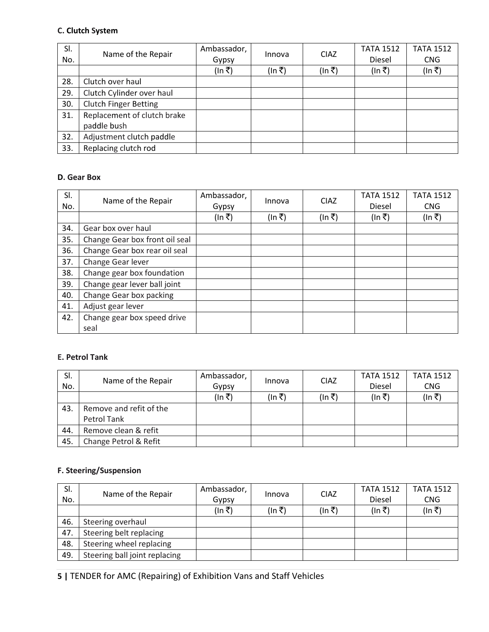### **C. Clutch System**

| SI.<br>No. | Name of the Repair           | Ambassador,<br>Gypsy | Innova | <b>CIAZ</b> | <b>TATA 1512</b><br>Diesel | <b>TATA 1512</b><br><b>CNG</b> |
|------------|------------------------------|----------------------|--------|-------------|----------------------------|--------------------------------|
|            |                              | (In ₹)               | (In ₹) | (In ₹)      | (In ₹)                     | (In ₹)                         |
|            |                              |                      |        |             |                            |                                |
| 28.        | Clutch over haul             |                      |        |             |                            |                                |
| 29.        | Clutch Cylinder over haul    |                      |        |             |                            |                                |
| 30.        | <b>Clutch Finger Betting</b> |                      |        |             |                            |                                |
| 31.        | Replacement of clutch brake  |                      |        |             |                            |                                |
|            | paddle bush                  |                      |        |             |                            |                                |
| 32.        | Adjustment clutch paddle     |                      |        |             |                            |                                |
| 33.        | Replacing clutch rod         |                      |        |             |                            |                                |

### **D. Gear Box**

| SI.<br>No. | Name of the Repair             | Ambassador,<br>Gypsy | Innova | <b>CIAZ</b> | <b>TATA 1512</b><br><b>Diesel</b> | <b>TATA 1512</b><br><b>CNG</b> |
|------------|--------------------------------|----------------------|--------|-------------|-----------------------------------|--------------------------------|
|            |                                | (In ₹)               | (In ₹) | (In ₹)      | (In ₹)                            | (In ₹)                         |
| 34.        | Gear box over haul             |                      |        |             |                                   |                                |
| 35.        | Change Gear box front oil seal |                      |        |             |                                   |                                |
| 36.        | Change Gear box rear oil seal  |                      |        |             |                                   |                                |
| 37.        | Change Gear lever              |                      |        |             |                                   |                                |
| 38.        | Change gear box foundation     |                      |        |             |                                   |                                |
| 39.        | Change gear lever ball joint   |                      |        |             |                                   |                                |
| 40.        | Change Gear box packing        |                      |        |             |                                   |                                |
| 41.        | Adjust gear lever              |                      |        |             |                                   |                                |
| 42.        | Change gear box speed drive    |                      |        |             |                                   |                                |
|            | seal                           |                      |        |             |                                   |                                |

### **E. Petrol Tank**

| SI. | Name of the Repair      | Ambassador, | Innova | <b>CIAZ</b> | <b>TATA 1512</b> | <b>TATA 1512</b> |
|-----|-------------------------|-------------|--------|-------------|------------------|------------------|
| No. |                         | Gypsy       |        |             | <b>Diesel</b>    | <b>CNG</b>       |
|     |                         | (In ₹)      | (In ₹) | (In ₹)      | (In ₹)           | (In ₹)           |
| 43. | Remove and refit of the |             |        |             |                  |                  |
|     | Petrol Tank             |             |        |             |                  |                  |
| 44. | Remove clean & refit    |             |        |             |                  |                  |
| 45. | Change Petrol & Refit   |             |        |             |                  |                  |

## **F. Steering/Suspension**

| SI. | Name of the Repair            | Ambassador, |        |                       | <b>TATA 1512</b> | <b>TATA 1512</b> |
|-----|-------------------------------|-------------|--------|-----------------------|------------------|------------------|
| No. |                               | Gypsy       |        | <b>CIAZ</b><br>Innova | Diesel           | <b>CNG</b>       |
|     |                               | (In ₹)      | (In ₹) | (In ₹)                | (In ₹)           | (In ₹)           |
| 46. | Steering overhaul             |             |        |                       |                  |                  |
| 47. | Steering belt replacing       |             |        |                       |                  |                  |
| 48. | Steering wheel replacing      |             |        |                       |                  |                  |
| 49. | Steering ball joint replacing |             |        |                       |                  |                  |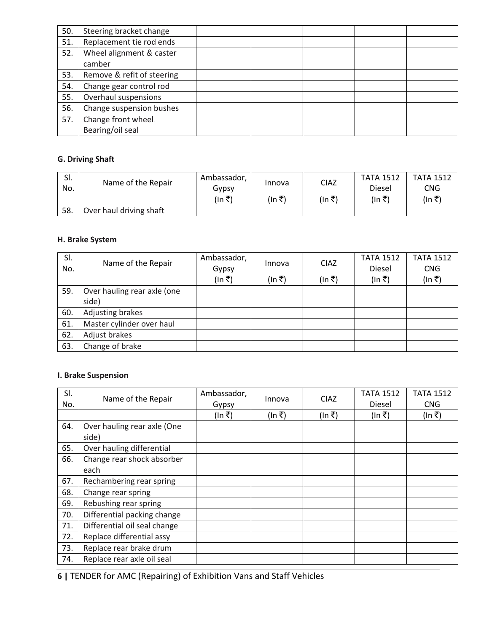| 50. | Steering bracket change    |  |  |  |
|-----|----------------------------|--|--|--|
| 51. | Replacement tie rod ends   |  |  |  |
| 52. | Wheel alignment & caster   |  |  |  |
|     | camber                     |  |  |  |
| 53. | Remove & refit of steering |  |  |  |
| 54. | Change gear control rod    |  |  |  |
| 55. | Overhaul suspensions       |  |  |  |
| 56. | Change suspension bushes   |  |  |  |
| 57. | Change front wheel.        |  |  |  |
|     | Bearing/oil seal           |  |  |  |

# **G. Driving Shaft**

| SI. |                         | Ambassador, |        |             | <b>TATA 1512</b> | <b>TATA 1512</b> |
|-----|-------------------------|-------------|--------|-------------|------------------|------------------|
| No. | Name of the Repair      | Gypsy       | Innova | <b>CIAZ</b> | Diesel           | CNG              |
|     |                         | (In ₹)      | (In ₹) | (In ₹)      | (In ₹)           | (In ₹            |
| 58. | Over haul driving shaft |             |        |             |                  |                  |

## **H. Brake System**

| SI. | Name of the Repair                   | Ambassador, | Innova | <b>CIAZ</b> | <b>TATA 1512</b> | <b>TATA 1512</b> |
|-----|--------------------------------------|-------------|--------|-------------|------------------|------------------|
| No. |                                      | Gypsy       |        |             | Diesel           | <b>CNG</b>       |
|     |                                      | (In ₹)      | (In ₹) | (In ₹)      | (In ₹)           | (In ₹)           |
| 59. | Over hauling rear axle (one<br>side) |             |        |             |                  |                  |
| 60. | Adjusting brakes                     |             |        |             |                  |                  |
| 61. | Master cylinder over haul            |             |        |             |                  |                  |
| 62. | Adjust brakes                        |             |        |             |                  |                  |
| 63. | Change of brake                      |             |        |             |                  |                  |

## **I. Brake Suspension**

| SI.<br>No. | Name of the Repair                   | Ambassador,<br>Gypsy | Innova | <b>CIAZ</b> | <b>TATA 1512</b><br><b>Diesel</b> | <b>TATA 1512</b><br><b>CNG</b> |
|------------|--------------------------------------|----------------------|--------|-------------|-----------------------------------|--------------------------------|
|            |                                      | (In ₹)               | (In ₹) | (In ₹)      | (In ₹)                            | (In ₹)                         |
| 64.        | Over hauling rear axle (One<br>side) |                      |        |             |                                   |                                |
| 65.        | Over hauling differential            |                      |        |             |                                   |                                |
| 66.        | Change rear shock absorber<br>each   |                      |        |             |                                   |                                |
| 67.        | Rechambering rear spring             |                      |        |             |                                   |                                |
| 68.        | Change rear spring                   |                      |        |             |                                   |                                |
| 69.        | Rebushing rear spring                |                      |        |             |                                   |                                |
| 70.        | Differential packing change          |                      |        |             |                                   |                                |
| 71.        | Differential oil seal change         |                      |        |             |                                   |                                |
| 72.        | Replace differential assy            |                      |        |             |                                   |                                |
| 73.        | Replace rear brake drum              |                      |        |             |                                   |                                |
| 74.        | Replace rear axle oil seal           |                      |        |             |                                   |                                |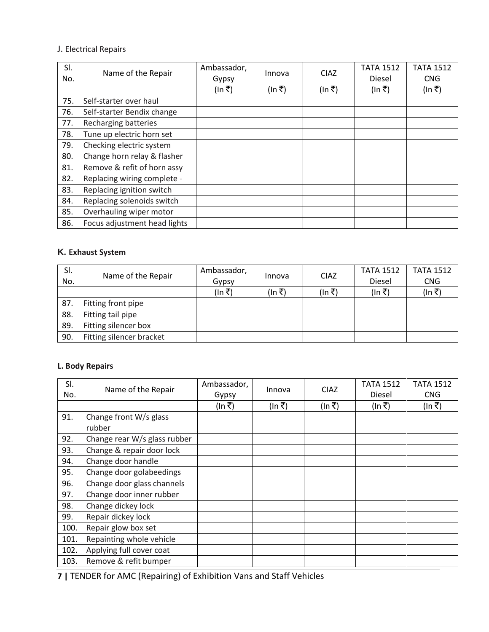### J. Electrical Repairs

| SI.<br>No. | Name of the Repair           | Ambassador,<br>Gypsy | Innova | <b>CIAZ</b> | <b>TATA 1512</b><br>Diesel | <b>TATA 1512</b><br><b>CNG</b> |
|------------|------------------------------|----------------------|--------|-------------|----------------------------|--------------------------------|
|            |                              | (In ₹)               | (In ₹) | (ln ₹)      | (In ₹)                     | (In ₹)                         |
| 75.        | Self-starter over haul       |                      |        |             |                            |                                |
| 76.        | Self-starter Bendix change   |                      |        |             |                            |                                |
| 77.        | Recharging batteries         |                      |        |             |                            |                                |
| 78.        | Tune up electric horn set    |                      |        |             |                            |                                |
| 79.        | Checking electric system     |                      |        |             |                            |                                |
| 80.        | Change horn relay & flasher  |                      |        |             |                            |                                |
| 81.        | Remove & refit of horn assy  |                      |        |             |                            |                                |
| 82.        | Replacing wiring complete -  |                      |        |             |                            |                                |
| 83.        | Replacing ignition switch    |                      |        |             |                            |                                |
| 84.        | Replacing solenoids switch   |                      |        |             |                            |                                |
| 85.        | Overhauling wiper motor      |                      |        |             |                            |                                |
| 86.        | Focus adjustment head lights |                      |        |             |                            |                                |

# **K. Exhaust System**

| SI. | Name of the Repair       | Ambassador, | Innova | <b>CIAZ</b> | <b>TATA 1512</b> | <b>TATA 1512</b> |
|-----|--------------------------|-------------|--------|-------------|------------------|------------------|
| No. |                          | Gypsy       |        |             | Diesel           | <b>CNG</b>       |
|     |                          | (In ₹)      | (In ₹) | (In ₹)      | (In ₹)           | (In ₹)           |
| 87. | Fitting front pipe       |             |        |             |                  |                  |
| 88. | Fitting tail pipe        |             |        |             |                  |                  |
| 89. | Fitting silencer box     |             |        |             |                  |                  |
| 90. | Fitting silencer bracket |             |        |             |                  |                  |

# **L. Body Repairs**

| SI.<br>No. | Name of the Repair           | Ambassador,<br>Gypsy | Innova | <b>CIAZ</b> | <b>TATA 1512</b><br>Diesel | <b>TATA 1512</b><br><b>CNG</b> |
|------------|------------------------------|----------------------|--------|-------------|----------------------------|--------------------------------|
|            |                              | (In ₹)               | (In ₹) | (ln ₹)      | (ln ₹)                     | (In ₹)                         |
| 91.        | Change front W/s glass       |                      |        |             |                            |                                |
|            | rubber                       |                      |        |             |                            |                                |
| 92.        | Change rear W/s glass rubber |                      |        |             |                            |                                |
| 93.        | Change & repair door lock    |                      |        |             |                            |                                |
| 94.        | Change door handle           |                      |        |             |                            |                                |
| 95.        | Change door golabeedings     |                      |        |             |                            |                                |
| 96.        | Change door glass channels   |                      |        |             |                            |                                |
| 97.        | Change door inner rubber     |                      |        |             |                            |                                |
| 98.        | Change dickey lock           |                      |        |             |                            |                                |
| 99.        | Repair dickey lock           |                      |        |             |                            |                                |
| 100.       | Repair glow box set          |                      |        |             |                            |                                |
| 101.       | Repainting whole vehicle     |                      |        |             |                            |                                |
| 102.       | Applying full cover coat     |                      |        |             |                            |                                |
| 103.       | Remove & refit bumper        |                      |        |             |                            |                                |